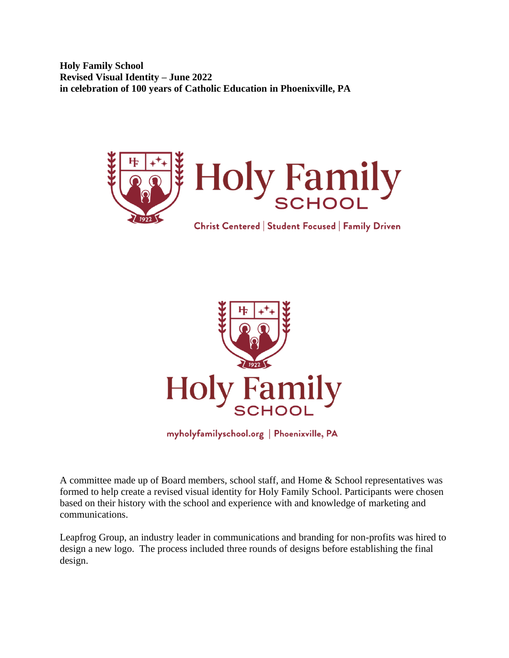**Holy Family School Revised Visual Identity – June 2022 in celebration of 100 years of Catholic Education in Phoenixville, PA**



Christ Centered | Student Focused | Family Driven



myholyfamilyschool.org | Phoenixville, PA

A committee made up of Board members, school staff, and Home & School representatives was formed to help create a revised visual identity for Holy Family School. Participants were chosen based on their history with the school and experience with and knowledge of marketing and communications.

Leapfrog Group, an industry leader in communications and branding for non-profits was hired to design a new logo. The process included three rounds of designs before establishing the final design.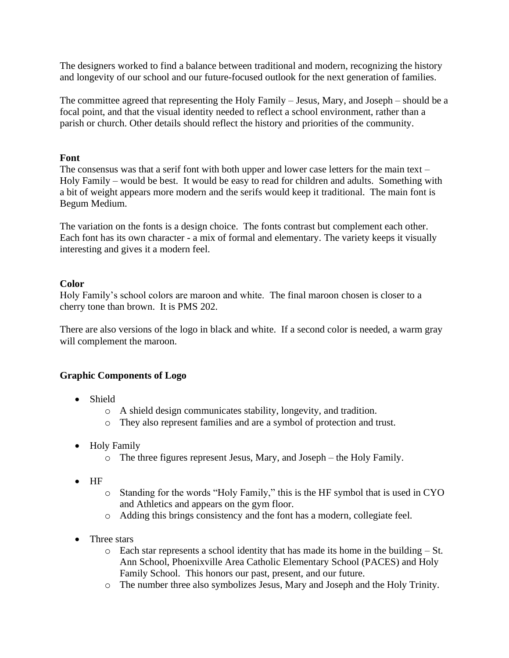The designers worked to find a balance between traditional and modern, recognizing the history and longevity of our school and our future-focused outlook for the next generation of families.

The committee agreed that representing the Holy Family – Jesus, Mary, and Joseph – should be a focal point, and that the visual identity needed to reflect a school environment, rather than a parish or church. Other details should reflect the history and priorities of the community.

## **Font**

The consensus was that a serif font with both upper and lower case letters for the main text – Holy Family – would be best. It would be easy to read for children and adults. Something with a bit of weight appears more modern and the serifs would keep it traditional. The main font is Begum Medium.

The variation on the fonts is a design choice. The fonts contrast but complement each other. Each font has its own character - a mix of formal and elementary. The variety keeps it visually interesting and gives it a modern feel.

## **Color**

Holy Family's school colors are maroon and white. The final maroon chosen is closer to a cherry tone than brown. It is PMS 202.

There are also versions of the logo in black and white. If a second color is needed, a warm gray will complement the maroon.

## **Graphic Components of Logo**

- Shield
	- o A shield design communicates stability, longevity, and tradition.
	- o They also represent families and are a symbol of protection and trust.
- Holy Family
	- o The three figures represent Jesus, Mary, and Joseph the Holy Family.
- HF
	- o Standing for the words "Holy Family," this is the HF symbol that is used in CYO and Athletics and appears on the gym floor.
	- o Adding this brings consistency and the font has a modern, collegiate feel.
- Three stars
	- o Each star represents a school identity that has made its home in the building St. Ann School, Phoenixville Area Catholic Elementary School (PACES) and Holy Family School. This honors our past, present, and our future.
	- o The number three also symbolizes Jesus, Mary and Joseph and the Holy Trinity.